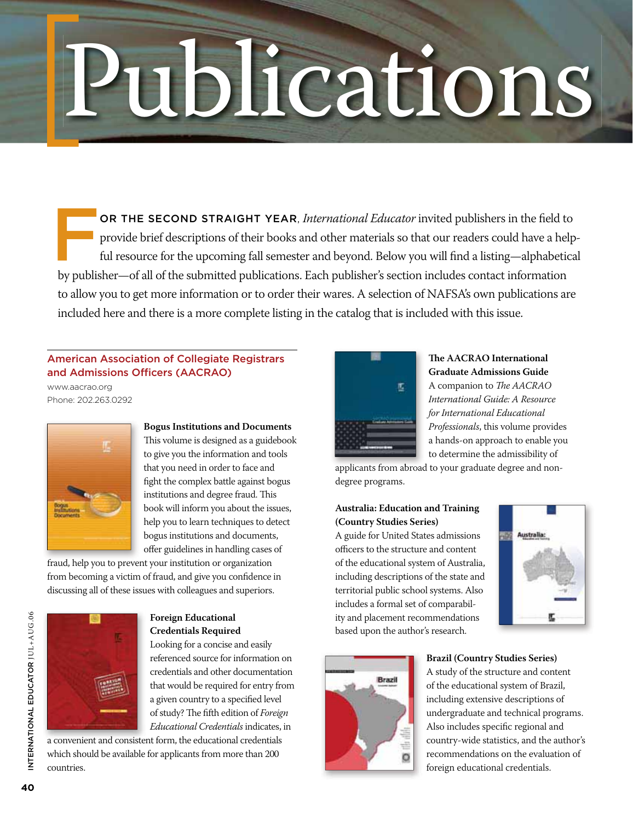# Publications

OR THE SECOND STRAIGHT YEAR, *International Educator* invited publishers in the field to provide brief descriptions of their books and other materials so that our readers could have a helpful resource for the upcoming fall semester and beyond. Below you will find a listing—alphabetical by publisher—of all of the submitted publications. Each publisher's section includes contact information to allow you to get more information or to order their wares. A selection of NAFSA's own publications are included here and there is a more complete listing in the catalog that is included with this issue.

# American Association of Collegiate Registrars and Admissions Officers (AACRAO)

www.aacrao.org Phone: 202.263.0292



**Bogus Institutions and Documents** This volume is designed as a guidebook to give you the information and tools that you need in order to face and fight the complex battle against bogus institutions and degree fraud. This book will inform you about the issues, help you to learn techniques to detect bogus institutions and documents, offer guidelines in handling cases of

fraud, help you to prevent your institution or organization from becoming a victim of fraud, and give you confidence in discussing all of these issues with colleagues and superiors.



# **Foreign Educational Credentials Required**

Looking for a concise and easily referenced source for information on credentials and other documentation that would be required for entry from a given country to a specified level of study? The fifth edition of *Foreign Educational Credentials* indicates, in

a convenient and consistent form, the educational credentials which should be available for applicants from more than 200 countries.



**The AACRAO International Graduate Admissions Guide** A companion to *The AACRAO International Guide: A Resource for International Educational Professionals*, this volume provides a hands-on approach to enable you to determine the admissibility of

applicants from abroad to your graduate degree and nondegree programs.

# **Australia: Education and Training (Country Studies Series)**

A guide for United States admissions officers to the structure and content of the educational system of Australia, including descriptions of the state and territorial public school systems. Also includes a formal set of comparability and placement recommendations based upon the author's research.





# **Brazil (Country Studies Series)**

A study of the structure and content of the educational system of Brazil, including extensive descriptions of undergraduate and technical programs. Also includes specific regional and country-wide statistics, and the author's recommendations on the evaluation of foreign educational credentials.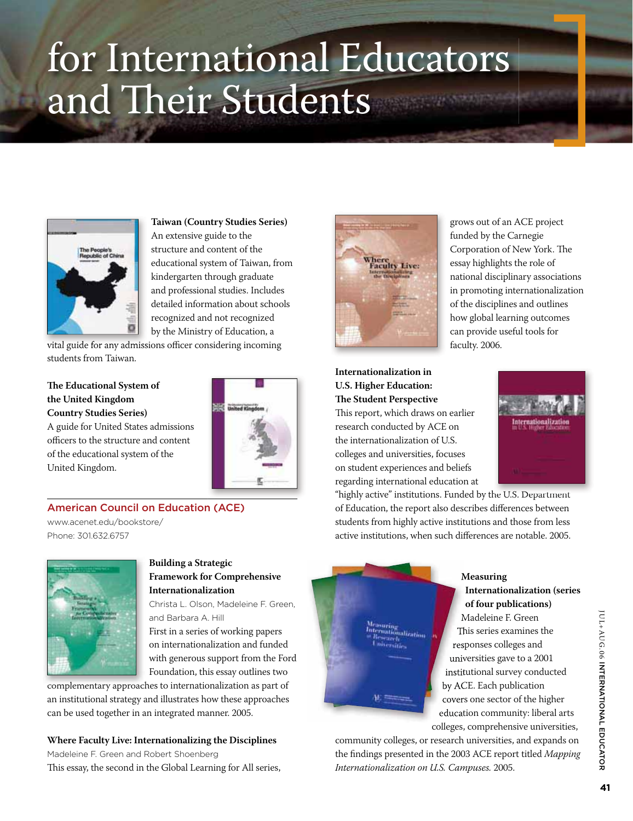# for International Educators and Their Students



**Taiwan (Country Studies Series)** An extensive guide to the structure and content of the educational system of Taiwan, from kindergarten through graduate and professional studies. Includes detailed information about schools recognized and not recognized by the Ministry of Education, a

vital guide for any admissions officer considering incoming students from Taiwan.

# **The Educational System of the United Kingdom Country Studies Series)**

A guide for United States admissions officers to the structure and content of the educational system of the United Kingdom.



# American Council on Education (ACE)

www.acenet.edu/bookstore/ Phone: 301.632.6757



# **Building a Strategic Framework for Comprehensive Internationalization**

Christa L. Olson, Madeleine F. Green, and Barbara A. Hill

First in a series of working papers on internationalization and funded with generous support from the Ford Foundation, this essay outlines two

complementary approaches to internationalization as part of an institutional strategy and illustrates how these approaches can be used together in an integrated manner. 2005.

**Where Faculty Live: Internationalizing the Disciplines**  Madeleine F. Green and Robert Shoenberg This essay, the second in the Global Learning for All series,



grows out of an ACE project funded by the Carnegie Corporation of New York. The essay highlights the role of national disciplinary associations in promoting internationalization of the disciplines and outlines how global learning outcomes can provide useful tools for faculty. 2006.

# **Internationalization in U.S. Higher Education: The Student Perspective** This report, which draws on earlier research conducted by ACE on

the internationalization of U.S. colleges and universities, focuses on student experiences and beliefs regarding international education at



"highly active" institutions. Funded by the U.S. Department of Education, the report also describes differences between students from highly active institutions and those from less active institutions, when such differences are notable. 2005.



# **Measuring Internationalization (series of four publications)**

Madeleine F. Green This series examines the responses colleges and universities gave to a 2001 institutional survey conducted by ACE. Each publication covers one sector of the higher education community: liberal arts colleges, comprehensive universities,

community colleges, or research universities, and expands on the findings presented in the 2003 ACE report titled *Mapping Internationalization on U.S. Campuses.* 2005.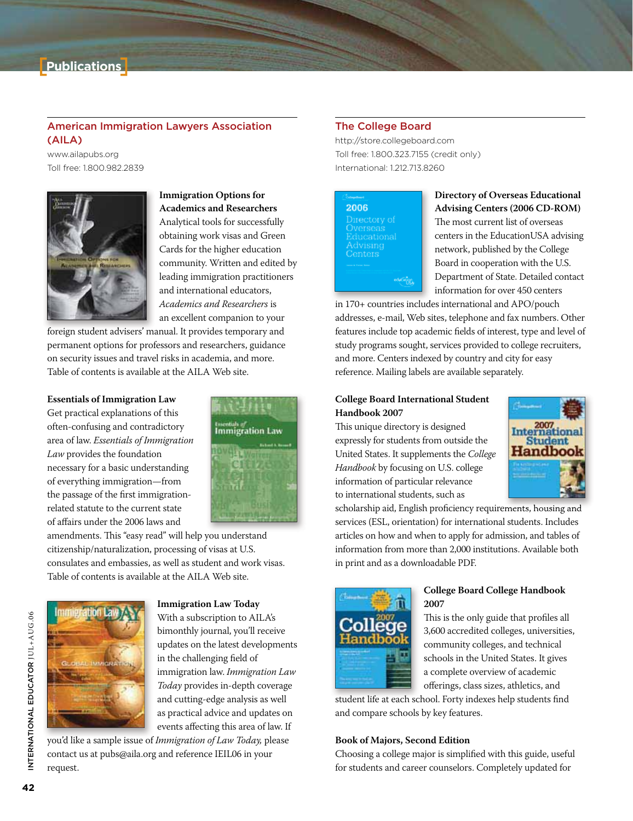

# American Immigration Lawyers Association  $(AILA)$

www.ailapubs.org Toll free: 1.800.982.2839



**Immigration Options for Academics and Researchers** Analytical tools for successfully obtaining work visas and Green Cards for the higher education community. Written and edited by leading immigration practitioners and international educators, *Academics and Researchers* is an excellent companion to your

foreign student advisers' manual. It provides temporary and permanent options for professors and researchers, guidance on security issues and travel risks in academia, and more. Table of contents is available at the AILA Web site.

# **Essentials of Immigration Law**

Get practical explanations of this often-confusing and contradictory area of law. *Essentials of Immigration Law* provides the foundation necessary for a basic understanding of everything immigration—from the passage of the first immigrationrelated statute to the current state of affairs under the 2006 laws and



amendments. This "easy read" will help you understand citizenship/naturalization, processing of visas at U.S. consulates and embassies, as well as student and work visas. Table of contents is available at the AILA Web site.



**Immigration Law Today** With a subscription to AILA's bimonthly journal, you'll receive updates on the latest developments in the challenging field of immigration law. *Immigration Law Today* provides in-depth coverage and cutting-edge analysis as well as practical advice and updates on events affecting this area of law. If

you'd like a sample issue of *Immigration of Law Today,* please contact us at pubs@aila.org and reference IEIL06 in your request.

# The College Board

http://store.collegeboard.com Toll free: 1.800.323.7155 (credit only) International: 1,212,713,8260



#### **Directory of Overseas Educational Advising Centers (2006 CD-ROM)**

The most current list of overseas centers in the EducationUSA advising network, published by the College Board in cooperation with the U.S. Department of State. Detailed contact information for over 450 centers

in 170+ countries includes international and APO/pouch addresses, e-mail, Web sites, telephone and fax numbers. Other features include top academic fields of interest, type and level of study programs sought, services provided to college recruiters, and more. Centers indexed by country and city for easy reference. Mailing labels are available separately.

# **College Board International Student Handbook 2007**

This unique directory is designed expressly for students from outside the United States. It supplements the *College Handbook* by focusing on U.S. college information of particular relevance to international students, such as



scholarship aid, English proficiency requirements, housing and services (ESL, orientation) for international students. Includes articles on how and when to apply for admission, and tables of information from more than 2,000 institutions. Available both in print and as a downloadable PDF.



#### **College Board College Handbook 2007**

This is the only guide that profiles all 3,600 accredited colleges, universities, community colleges, and technical schools in the United States. It gives a complete overview of academic offerings, class sizes, athletics, and

student life at each school. Forty indexes help students find and compare schools by key features.

# **Book of Majors, Second Edition**

Choosing a college major is simplified with this guide, useful for students and career counselors. Completely updated for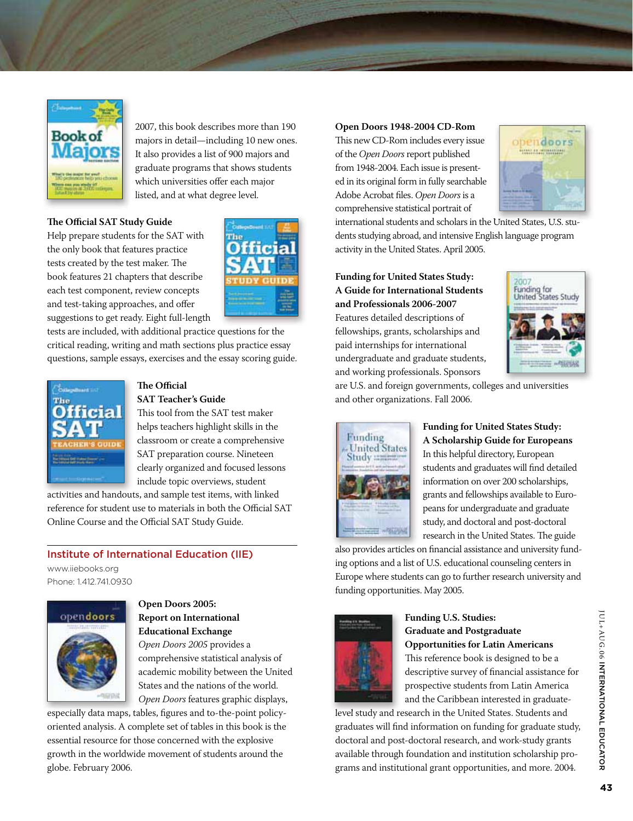

2007, this book describes more than 190 majors in detail—including 10 new ones. It also provides a list of 900 majors and graduate programs that shows students which universities offer each major listed, and at what degree level.

# **The Official SAT Study Guide**

Help prepare students for the SAT with the only book that features practice tests created by the test maker. The book features 21 chapters that describe each test component, review concepts and test-taking approaches, and offer suggestions to get ready. Eight full-length



tests are included, with additional practice questions for the critical reading, writing and math sections plus practice essay questions, sample essays, exercises and the essay scoring guide.



### **The Official SAT Teacher's Guide**

This tool from the SAT test maker helps teachers highlight skills in the classroom or create a comprehensive SAT preparation course. Nineteen clearly organized and focused lessons include topic overviews, student

activities and handouts, and sample test items, with linked reference for student use to materials in both the Official SAT Online Course and the Official SAT Study Guide.

# Institute of International Education (IIE)

www.iiebooks.org Phone: 1.412.741.0930



# **Open Doors 2005: Report on International Educational Exchange**

*Open Doors 2005* provides a comprehensive statistical analysis of academic mobility between the United States and the nations of the world. *Open Doors* features graphic displays,

especially data maps, tables, figures and to-the-point policyoriented analysis. A complete set of tables in this book is the essential resource for those concerned with the explosive growth in the worldwide movement of students around the globe. February 2006.

#### **Open Doors 1948-2004 CD-Rom**

This new CD-Rom includes every issue of the *Open Doors* report published from 1948-2004. Each issue is presented in its original form in fully searchable Adobe Acrobat files. *Open Doors* is a comprehensive statistical portrait of



international students and scholars in the United States, U.S. students studying abroad, and intensive English language program activity in the United States. April 2005.

**Funding for United States Study: A Guide for International Students and Professionals 2006-2007** Features detailed descriptions of fellowships, grants, scholarships and paid internships for international undergraduate and graduate students, and working professionals. Sponsors



are U.S. and foreign governments, colleges and universities and other organizations. Fall 2006.



**Funding for United States Study: A Scholarship Guide for Europeans** In this helpful directory, European students and graduates will find detailed information on over 200 scholarships, grants and fellowships available to Europeans for undergraduate and graduate study, and doctoral and post-doctoral research in the United States. The guide

also provides articles on financial assistance and university funding options and a list of U.S. educational counseling centers in Europe where students can go to further research university and funding opportunities. May 2005.



# **Funding U.S. Studies: Graduate and Postgraduate Opportunities for Latin Americans**

This reference book is designed to be a descriptive survey of financial assistance for prospective students from Latin America and the Caribbean interested in graduate-

level study and research in the United States. Students and graduates will find information on funding for graduate study, doctoral and post-doctoral research, and work-study grants available through foundation and institution scholarship programs and institutional grant opportunities, and more. 2004.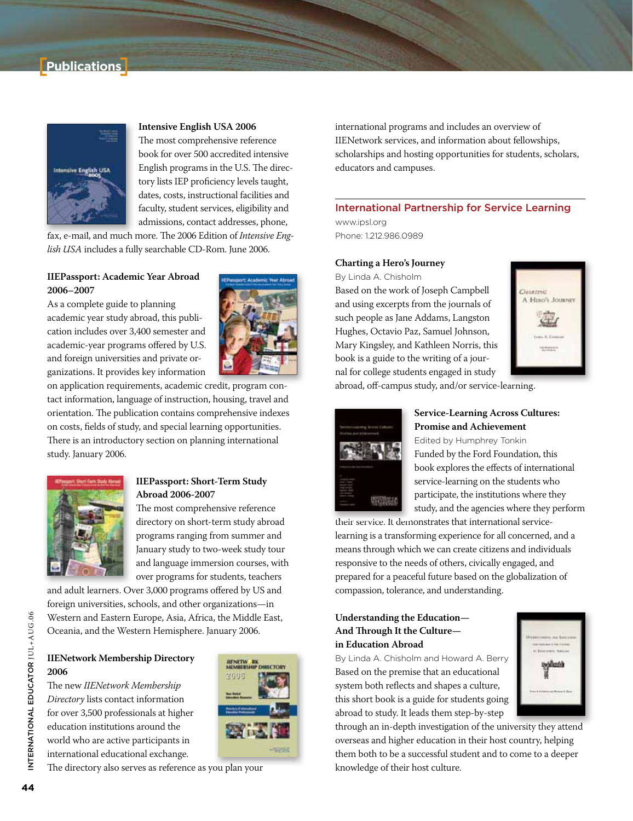# **Publications**



# **Intensive English USA 2006**

The most comprehensive reference book for over 500 accredited intensive English programs in the U.S. The directory lists IEP proficiency levels taught, dates, costs, instructional facilities and faculty, student services, eligibility and admissions, contact addresses, phone,

fax, e-mail, and much more. The 2006 Edition of *Intensive English USA* includes a fully searchable CD-Rom. June 2006.

# **IIEPassport: Academic Year Abroad 2006–2007**

As a complete guide to planning academic year study abroad, this publication includes over 3,400 semester and academic-year programs offered by U.S. and foreign universities and private organizations. It provides key information



on application requirements, academic credit, program contact information, language of instruction, housing, travel and orientation. The publication contains comprehensive indexes on costs, fields of study, and special learning opportunities. There is an introductory section on planning international study. January 2006.



# **IIEPassport: Short-Term Study Abroad 2006-2007**

The most comprehensive reference directory on short-term study abroad programs ranging from summer and January study to two-week study tour and language immersion courses, with over programs for students, teachers

and adult learners. Over 3,000 programs offered by US and foreign universities, schools, and other organizations—in Western and Eastern Europe, Asia, Africa, the Middle East, Oceania, and the Western Hemisphere. January 2006.

# **IIENetwork Membership Directory 2006**

The new *IIENetwork Membership Directory* lists contact information for over 3,500 professionals at higher education institutions around the world who are active participants in international educational exchange.



The directory also serves as reference as you plan your

international programs and includes an overview of IIENetwork services, and information about fellowships, scholarships and hosting opportunities for students, scholars, educators and campuses.

# International Partnership for Service Learning

www.ipsl.org Phone: 1.212.986.0989

#### **Charting a Hero's Journey**

By Linda A. Chisholm Based on the work of Joseph Campbell

and using excerpts from the journals of such people as Jane Addams, Langston Hughes, Octavio Paz, Samuel Johnson, Mary Kingsley, and Kathleen Norris, this book is a guide to the writing of a journal for college students engaged in study



abroad, off-campus study, and/or service-learning.



# **Service-Learning Across Cultures: Promise and Achievement**

Edited by Humphrey Tonkin Funded by the Ford Foundation, this book explores the effects of international service-learning on the students who participate, the institutions where they study, and the agencies where they perform

their service. It demonstrates that international servicelearning is a transforming experience for all concerned, and a means through which we can create citizens and individuals responsive to the needs of others, civically engaged, and prepared for a peaceful future based on the globalization of compassion, tolerance, and understanding.

# **Understanding the Education— And Through It the Culture in Education Abroad**

By Linda A. Chisholm and Howard A. Berry Based on the premise that an educational system both reflects and shapes a culture, this short book is a guide for students going abroad to study. It leads them step-by-step



through an in-depth investigation of the university they attend overseas and higher education in their host country, helping them both to be a successful student and to come to a deeper knowledge of their host culture.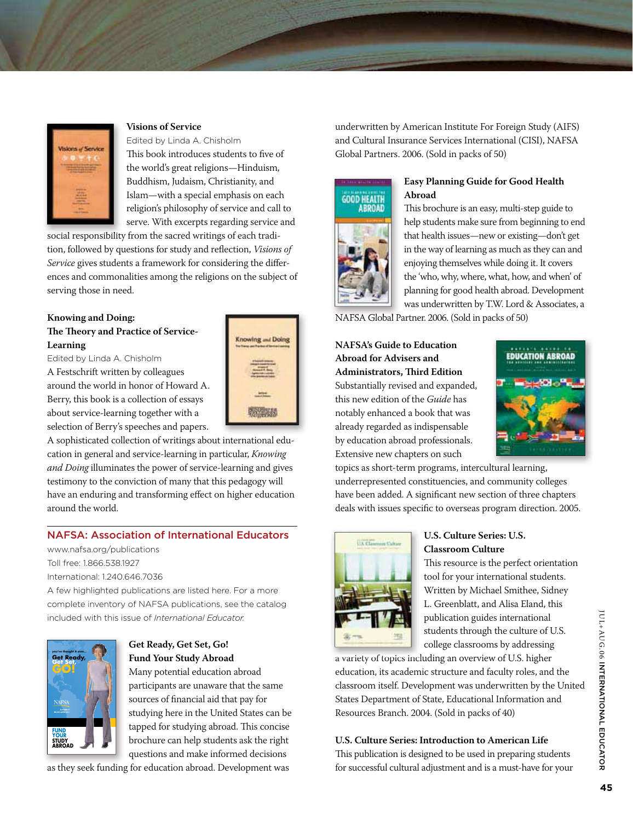

# **Visions of Service**

Edited by Linda A. Chisholm This book introduces students to five of the world's great religions—Hinduism, Buddhism, Judaism, Christianity, and Islam—with a special emphasis on each religion's philosophy of service and call to serve. With excerpts regarding service and

social responsibility from the sacred writings of each tradition, followed by questions for study and reflection, *Visions of Service* gives students a framework for considering the differences and commonalities among the religions on the subject of serving those in need.

# **Knowing and Doing:**

**The Theory and Practice of Service-Learning**

Edited by Linda A. Chisholm

A Festschrift written by colleagues around the world in honor of Howard A. Berry, this book is a collection of essays about service-learning together with a selection of Berry's speeches and papers.

A sophisticated collection of writings about international education in general and service-learning in particular, *Knowing and Doing* illuminates the power of service-learning and gives testimony to the conviction of many that this pedagogy will have an enduring and transforming effect on higher education around the world.

# NAFSA: Association of International Educators

www.nafsa.org/publications Toll free: 1.866.538.1927 International: 1.240.646.7036

A few highlighted publications are listed here. For a more complete inventory of NAFSA publications, see the catalog included with this issue of *International Fducator*.



# **Get Ready, Get Set, Go! Fund Your Study Abroad**

Many potential education abroad participants are unaware that the same sources of financial aid that pay for studying here in the United States can be tapped for studying abroad. This concise brochure can help students ask the right questions and make informed decisions

as they seek funding for education abroad. Development was

Inowing and Doing 2002/06/07

underwritten by American Institute For Foreign Study (AIFS) and Cultural Insurance Services International (CISI), NAFSA Global Partners. 2006. (Sold in packs of 50)



# **Easy Planning Guide for Good Health Abroad**

This brochure is an easy, multi-step guide to help students make sure from beginning to end that health issues—new or existing—don't get in the way of learning as much as they can and enjoying themselves while doing it. It covers the 'who, why, where, what, how, and when' of planning for good health abroad. Development was underwritten by T.W. Lord & Associates, a

NAFSA Global Partner. 2006. (Sold in packs of 50)

# **NAFSA's Guide to Education Abroad for Advisers and Administrators, Third Edition**

Substantially revised and expanded, this new edition of the *Guide* has notably enhanced a book that was already regarded as indispensable by education abroad professionals. Extensive new chapters on such



topics as short-term programs, intercultural learning, underrepresented constituencies, and community colleges have been added. A significant new section of three chapters deals with issues specific to overseas program direction. 2005.



#### **U.S. Culture Series: U.S. Classroom Culture**

This resource is the perfect orientation tool for your international students. Written by Michael Smithee, Sidney L. Greenblatt, and Alisa Eland, this publication guides international students through the culture of U.S. college classrooms by addressing

a variety of topics including an overview of U.S. higher education, its academic structure and faculty roles, and the classroom itself. Development was underwritten by the United States Department of State, Educational Information and Resources Branch. 2004. (Sold in packs of 40)

# **U.S. Culture Series: Introduction to American Life**

This publication is designed to be used in preparing students for successful cultural adjustment and is a must-have for your